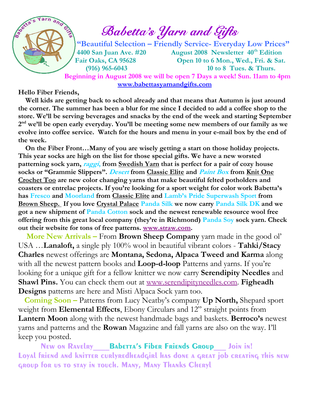$\mathscr{E} = \sum_{i=1}^{\infty} \mathscr{E}$  Babetta's Yarn and Gifts

 "Beautiful Selection – Friendly Service- Everyday Low Prices" 4400 San Juan Ave. #20 August 2008 Newsletter 40<sup>th</sup> Edition Fair Oaks, CA 95628 Open 10 to 6 Mon., Wed., Fri. & Sat. (916) 965-6043 10 to 8 Tues. & Thurs.

 Beginning in August 2008 we will be open 7 Days a week! Sun. 11am to 4pm www.babettasyarnandgifts.com

#### Hello Fiber Friends,

Yarn

 Well kids are getting back to school already and that means that Autumn is just around the corner. The summer has been a blur for me since I decided to add a coffee shop to the store. We'll be serving beverages and snacks by the end of the week and starting September  $2<sup>nd</sup>$  we'll be open early everyday. You'll be meeting some new members of our family as we evolve into coffee service. Watch for the hours and menu in your e-mail box by the end of the week.

 On the Fiber Front…Many of you are wisely getting a start on those holiday projects. This year socks are high on the list for those special gifts. We have a new worsted patterning sock yarn, raggi, from Swedish Yarn that is perfect for a pair of cozy house socks or "Grammie Slippers". Desert from Classic Elite and Paint Box from Knit One Crochet Too are new color changing yarns that make beautiful felted potholders and coasters or entrelac projects. If you're looking for a sport weight for color work Babetta's has Fresco and Moorland from Classic Elite and Lamb's Pride Superwash Sport from Brown Sheep. If you love Crystal Palace Panda Silk we now carry Panda Silk DK and we got a new shipment of Panda Cotton sock and the newest renewable resource wool free offering from this great local company (they're in Richmond) Panda Soy sock yarn. Check out their website for tons of free patterns. www.straw.com.

 More New Arrivals – From Brown Sheep Company yarn made in the good ol' USA …Lanaloft, a single ply 100% wool in beautiful vibrant colors - Tahki/Stacy Charles newest offerings are Montana, Sedona, Alpaca Tweed and Karma along with all the newest pattern books and Loop-d-loop Patterns and yarns. If you're looking for a unique gift for a fellow knitter we now carry Serendipity Needles and Shawl Pins. You can check them out at www.serendipityneedles.com. Figheadh Designs patterns are here and Misti Alpaca Sock yarn too.

 Coming Soon – Patterns from Lucy Neatby's company Up North, Shepard sport weight from Elemental Effects, Ebony Circulars and 12" straight points from Lantern Moon along with the newest handmade bags and baskets. Berroco's newest yarns and patterns and the Rowan Magazine and fall yarns are also on the way. I'll keep you posted.

New on Ravelry **Babetta's Fiber Friends Group** Join in! Loyal friend and knitter curlyredheadgirl has done a great job creating this new group for us to stay in touch. Many, Many Thanks Cheryl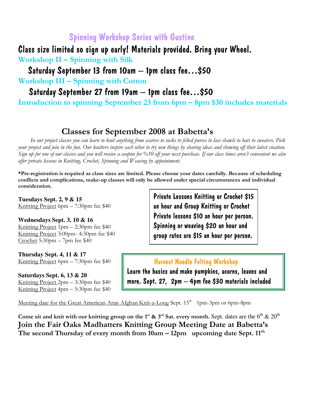## Spinning Workshop Series with Gustine

Class size limited so sign up early! Materials provided. Bring your Wheel. Workshop II – Spinning with Silk

Saturday September 13 from 10am – 1pm class fee…\$50

Workshop III – Spinning with Cotton

Saturday September 27 from 19am – 1pm class fee…\$50

Introduction to spinning September 23 from 6pm – 8pm \$30 includes materials

## Classes for September 2008 at Babetta's

 In our project classes you can learn to knit anything from scarves to socks to felted purses to lace shawls to hats to sweaters. Pick your project and join in the fun. Our knitters inspire each other to try new things by sharing ideas and showing off their latest creation. Sign up for one of our classes and you will receive a coupon for %10 off your next purchase. If our class times aren't convenient we also offer private lessons in Knitting, Crochet, Spinning and Weaving by appointment.

\*Pre-registration is required as class sizes are limited. Please choose your dates carefully. Because of scheduling conflicts and complications, make-up classes will only be allowed under special circumstances and individual consideration.

**Tuesdays Sept. 2, 9 & 15**  Knitting Project 6pm – 7:30pm fee \$40

**Wednesdays Sept. 3, 10 & 16**  Knitting Project 1pm – 2:30pm fee \$40 Knitting Project 3:00pm- 4:30pm fee \$40 Crochet 5:30pm – 7pm fee \$40

**Thursday Sept. 4, 11 & 17**  Knitting Project 6pm – 7:30pm fee \$40

**Saturdays Sept. 6, 13 & 20**  Knitting Project 2pm – 3:30pm fee \$40 Knitting Project 4pm – 5:30pm fee \$40 Private Lessons Knitting or Crochet \$15 an hour and Group Knitting or Crochet Private lessons \$10 an hour per person. Spinning or weaving \$20 an hour and group rates are \$15 an hour per person.

#### Harvest Needle Felting Workshop

Learn the basics and make pumpkins, acorns, leaves and more. Sept. 27, 2pm – 4pm fee \$30 materials included

Meeting date for the Great American Aran Afghan Knit-a-Long Sept. 15<sup>th</sup> 1pm-3pm or 6pm-8pm

Come sit and knit with our knitting group on the 1<sup>st</sup> & 3<sup>rd</sup> Sat. every month. Sept. dates are the 6<sup>th</sup> & 20<sup>th</sup> Join the Fair Oaks Madhatters Knitting Group Meeting Date at Babetta's The second Thursday of every month from  $10am - 12pm$  upcoming date Sept.  $11<sup>th</sup>$